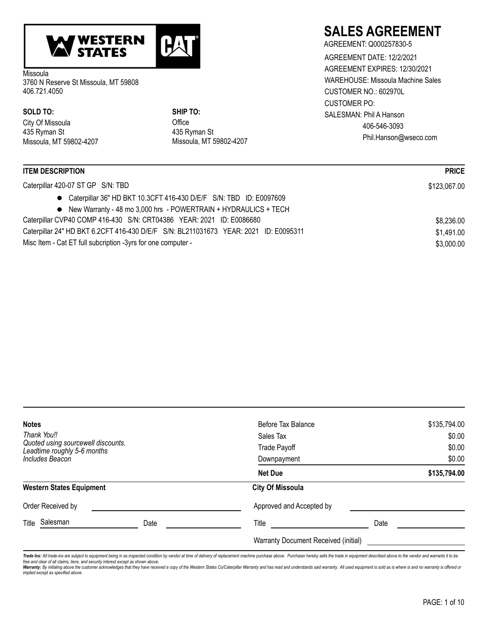

Missoula 3760 N Reserve St Missoula, MT 59808 406.721.4050

City Of Missoula 435 Ryman St Missoula, MT 59802-4207 **SOLD TO: SHIP TO:**

**Office** 435 Ryman St Missoula, MT 59802-4207

# **SALES AGREEMENT**

AGREEMENT: Q000257830-5 CUSTOMER NO.: 602970L CUSTOMER PO: AGREEMENT DATE: 12/2/2021 AGREEMENT EXPIRES: 12/30/2021 WAREHOUSE: Missoula Machine Sales SALESMAN: Phil A Hanson 406-546-3093 Phil.Hanson@wseco.com

| <b>ITEM DESCRIPTION</b>                                                              | <b>PRICE</b> |
|--------------------------------------------------------------------------------------|--------------|
| Caterpillar 420-07 ST GP S/N: TBD                                                    | \$123,067.00 |
| • Caterpillar 36" HD BKT 10.3CFT 416-430 D/E/F S/N: TBD ID: E0097609                 |              |
| • New Warranty - 48 mo 3,000 hrs - POWERTRAIN + HYDRAULICS + TECH                    |              |
| Caterpillar CVP40 COMP 416-430 S/N: CRT04386 YEAR: 2021 ID: E0086680                 | \$8,236.00   |
| Caterpillar 24" HD BKT 6.2CFT 416-430 D/E/F S/N: BL211031673 YEAR: 2021 ID: E0095311 | \$1,491.00   |
| Misc Item - Cat ET full subcription -3yrs for one computer -                         | \$3,000.00   |

| <b>Notes</b><br>Thank You!!<br>Quoted using sourcewell discounts.<br>Leadtime roughly 5-6 months<br>Includes Beacon |      | Before Tax Balance<br>Sales Tax<br>Trade Payoff<br>Downpayment | \$135,794.00<br>\$0.00<br>\$0.00<br>\$0.00 |
|---------------------------------------------------------------------------------------------------------------------|------|----------------------------------------------------------------|--------------------------------------------|
|                                                                                                                     |      | <b>Net Due</b>                                                 | \$135,794.00                               |
| <b>Western States Equipment</b>                                                                                     |      | <b>City Of Missoula</b>                                        |                                            |
| Order Received by                                                                                                   |      | Approved and Accepted by                                       |                                            |
| Salesman<br>Title                                                                                                   | Date | Title                                                          | Date                                       |
|                                                                                                                     |      | Warranty Document Received (initial)                           |                                            |

Trade Ins: All trade-ins are subject to equipment being in as inspected condition by vendor at time of delivery of replacement machine purchase above. Purchaser hereby sells the trade in equipment described above to the ve *free and clear of all claims, liens, and security interest except as shown above.*

**Warranty:** By initialing above the customer acknowledges that they have received a copy of the Western States Co/Caterpillar Warranty and has read and understands said warranty. All used equipment is sold as is where is a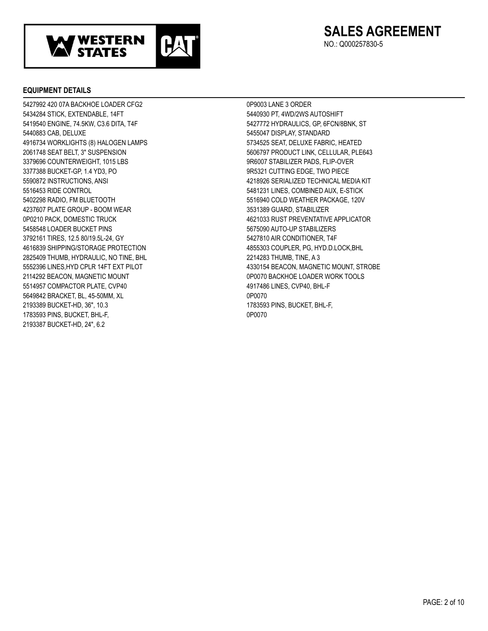

NO.: Q000257830-5

### **EQUIPMENT DETAILS**

5427992 420 07A BACKHOE LOADER CFG2 0P9003 LANE 3 ORDER 5434284 STICK, EXTENDABLE, 14FT STATES AND STATES AND STATES AND STATES AND SHALL STATES AND SHIFT 5419540 ENGINE, 74.5KW, C3.6 DITA, T4F 5427772 HYDRAULICS, GP, 6FCN/8BNK, ST 5440883 CAB, DELUXE 5455047 DISPLAY, STANDARD 4916734 WORKLIGHTS (8) HALOGEN LAMPS 5734525 SEAT, DELUXE FABRIC, HEATED 2061748 SEAT BELT, 3" SUSPENSION 5606797 PRODUCT LINK, CELLULAR, PLE643 3379696 COUNTERWEIGHT, 1015 LBS 9R6007 STABILIZER PADS, FLIPOVER 3377388 BUCKETGP, 1.4 YD3, PO 9R5321 CUTTING EDGE, TWO PIECE 5590872 INSTRUCTIONS, ANSI 4218926 SERIALIZED TECHNICAL MEDIA KIT 5516453 RIDE CONTROL 5481231 LINES, COMBINED AUX, ESTICK 5402298 RADIO, FM BLUETOOTH 5516940 COLD WEATHER PACKAGE, 120V 4237607 PLATE GROUP BOOM WEAR 3531389 GUARD, STABILIZER 0P0210 PACK, DOMESTIC TRUCK 4621033 RUST PREVENTATIVE APPLICATOR 5458548 LOADER BUCKET PINS 6575090 AUTO-UP STABILIZERS 3792161 TIRES, 12.5 80/19.5L-24, GY 5427810 AIR CONDITIONER, T4F 4616839 SHIPPING/STORAGE PROTECTION 4855303 COUPLER, PG, HYD.D.LOCK,BHL 2825409 THUMB, HYDRAULIC, NO TINE, BHL 2214283 THUMB, TINE, A 3 2114292 BEACON, MAGNETIC MOUNT **CONTRACT CONSUMING THE CONSUMING OPO070 BACKHOE LOADER WORK TOOLS** 5514957 COMPACTOR PLATE, CVP40 4917486 LINES, CVP40, BHL-F 5649842 BRACKET, BL, 45-50MM, XL 0P0070 2193389 BUCKETHD, 36", 10.3 1783593 PINS, BUCKET, BHLF, 1783593 PINS, BUCKET, BHL-F, 0P0070 2193387 BUCKETHD, 24", 6.2

5552396 LINES, HYD CPLR 14FT EXT PILOT AND THE ASSESS ASSESSED A 4330154 BEACON, MAGNETIC MOUNT, STROBE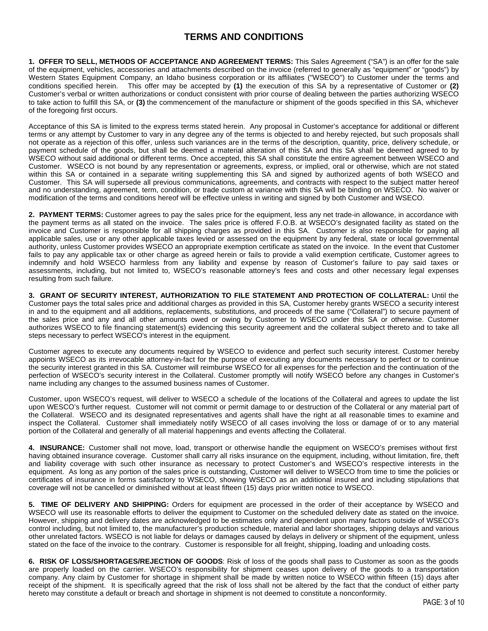# **TERMS AND CONDITIONS**

**1. OFFER TO SELL, METHODS OF ACCEPTANCE AND AGREEMENT TERMS:** This Sales Agreement ("SA") is an offer for the sale of the equipment, vehicles, accessories and attachments described on the invoice (referred to generally as "equipment" or "goods") by Western States Equipment Company, an Idaho business corporation or its affiliates ("WSECO") to Customer under the terms and conditions specified herein. This offer may be accepted by **(1)** the execution of this SA by a representative of Customer or **(2)** Customer's verbal or written authorizations or conduct consistent with prior course of dealing between the parties authorizing WSECO to take action to fulfill this SA, or **(3)** the commencement of the manufacture or shipment of the goods specified in this SA, whichever of the foregoing first occurs.

Acceptance of this SA is limited to the express terms stated herein. Any proposal in Customer's acceptance for additional or different terms or any attempt by Customer to vary in any degree any of the terms is objected to and hereby rejected, but such proposals shall not operate as a rejection of this offer, unless such variances are in the terms of the description, quantity, price, delivery schedule, or payment schedule of the goods, but shall be deemed a material alteration of this SA and this SA shall be deemed agreed to by WSECO without said additional or different terms. Once accepted, this SA shall constitute the entire agreement between WSECO and Customer. WSECO is not bound by any representation or agreements, express, or implied, oral or otherwise, which are not stated within this SA or contained in a separate writing supplementing this SA and signed by authorized agents of both WSECO and Customer. This SA will supersede all previous communications, agreements, and contracts with respect to the subject matter hereof and no understanding, agreement, term, condition, or trade custom at variance with this SA will be binding on WSECO. No waiver or modification of the terms and conditions hereof will be effective unless in writing and signed by both Customer and WSECO.

**2. PAYMENT TERMS:** Customer agrees to pay the sales price for the equipment, less any net trade-in allowance, in accordance with the payment terms as all stated on the invoice. The sales price is offered F.O.B. at WSECO's designated facility as stated on the invoice and Customer is responsible for all shipping charges as provided in this SA. Customer is also responsible for paying all applicable sales, use or any other applicable taxes levied or assessed on the equipment by any federal, state or local governmental authority, unless Customer provides WSECO an appropriate exemption certificate as stated on the invoice. In the event that Customer fails to pay any applicable tax or other charge as agreed herein or fails to provide a valid exemption certificate, Customer agrees to indemnify and hold WSECO harmless from any liability and expense by reason of Customer's failure to pay said taxes or assessments, including, but not limited to, WSECO's reasonable attorney's fees and costs and other necessary legal expenses resulting from such failure.

**3. GRANT OF SECURITY INTEREST, AUTHORIZATION TO FILE STATEMENT AND PROTECTION OF COLLATERAL:** Until the Customer pays the total sales price and additional charges as provided in this SA, Customer hereby grants WSECO a security interest in and to the equipment and all additions, replacements, substitutions, and proceeds of the same ("Collateral") to secure payment of the sales price and any and all other amounts owed or owing by Customer to WSECO under this SA or otherwise. Customer authorizes WSECO to file financing statement(s) evidencing this security agreement and the collateral subject thereto and to take all steps necessary to perfect WSECO's interest in the equipment.

Customer agrees to execute any documents required by WSECO to evidence and perfect such security interest. Customer hereby appoints WSECO as its irrevocable attorney-in-fact for the purpose of executing any documents necessary to perfect or to continue the security interest granted in this SA. Customer will reimburse WSECO for all expenses for the perfection and the continuation of the perfection of WSECO's security interest in the Collateral. Customer promptly will notify WSECO before any changes in Customer's name including any changes to the assumed business names of Customer.

Customer, upon WSECO's request, will deliver to WSECO a schedule of the locations of the Collateral and agrees to update the list upon WESCO's further request. Customer will not commit or permit damage to or destruction of the Collateral or any material part of the Collateral. WSECO and its designated representatives and agents shall have the right at all reasonable times to examine and inspect the Collateral. Customer shall immediately notify WSECO of all cases involving the loss or damage of or to any material portion of the Collateral and generally of all material happenings and events affecting the Collateral.

**4. INSURANCE:** Customer shall not move, load, transport or otherwise handle the equipment on WSECO's premises without first having obtained insurance coverage. Customer shall carry all risks insurance on the equipment, including, without limitation, fire, theft and liability coverage with such other insurance as necessary to protect Customer's and WSECO's respective interests in the equipment. As long as any portion of the sales price is outstanding, Customer will deliver to WSECO from time to time the policies or certificates of insurance in forms satisfactory to WSECO, showing WSECO as an additional insured and including stipulations that coverage will not be cancelled or diminished without at least fifteen (15) days prior written notice to WSECO.

**5. TIME OF DELIVERY AND SHIPPING:** Orders for equipment are processed in the order of their acceptance by WSECO and WSECO will use its reasonable efforts to deliver the equipment to Customer on the scheduled delivery date as stated on the invoice. However, shipping and delivery dates are acknowledged to be estimates only and dependent upon many factors outside of WSECO's control including, but not limited to, the manufacturer's production schedule, material and labor shortages, shipping delays and various other unrelated factors. WSECO is not liable for delays or damages caused by delays in delivery or shipment of the equipment, unless stated on the face of the invoice to the contrary. Customer is responsible for all freight, shipping, loading and unloading costs.

**6. RISK OF LOSS/SHORTAGES/REJECTION OF GOODS**: Risk of loss of the goods shall pass to Customer as soon as the goods are properly loaded on the carrier. WSECO's responsibility for shipment ceases upon delivery of the goods to a transportation company. Any claim by Customer for shortage in shipment shall be made by written notice to WSECO within fifteen (15) days after receipt of the shipment. It is specifically agreed that the risk of loss shall not be altered by the fact that the conduct of either party hereto may constitute a default or breach and shortage in shipment is not deemed to constitute a nonconformity.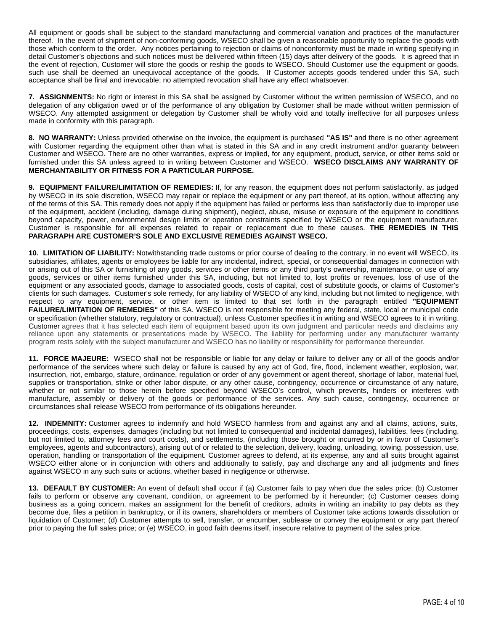All equipment or goods shall be subject to the standard manufacturing and commercial variation and practices of the manufacturer thereof. In the event of shipment of non-conforming goods, WSECO shall be given a reasonable opportunity to replace the goods with those which conform to the order. Any notices pertaining to rejection or claims of nonconformity must be made in writing specifying in detail Customer's objections and such notices must be delivered within fifteen (15) days after delivery of the goods. It is agreed that in the event of rejection, Customer will store the goods or reship the goods to WSECO. Should Customer use the equipment or goods, such use shall be deemed an unequivocal acceptance of the goods. If Customer accepts goods tendered under this SA, such acceptance shall be final and irrevocable; no attempted revocation shall have any effect whatsoever.

**7. ASSIGNMENTS:** No right or interest in this SA shall be assigned by Customer without the written permission of WSECO, and no delegation of any obligation owed or of the performance of any obligation by Customer shall be made without written permission of WSECO. Any attempted assignment or delegation by Customer shall be wholly void and totally ineffective for all purposes unless made in conformity with this paragraph.

**8. NO WARRANTY:** Unless provided otherwise on the invoice, the equipment is purchased **"AS IS"** and there is no other agreement with Customer regarding the equipment other than what is stated in this SA and in any credit instrument and/or guaranty between Customer and WSECO. There are no other warranties, express or implied, for any equipment, product, service, or other items sold or furnished under this SA unless agreed to in writing between Customer and WSECO. **WSECO DISCLAIMS ANY WARRANTY OF MERCHANTABILITY OR FITNESS FOR A PARTICULAR PURPOSE.** 

**9. EQUIPMENT FAILURE/LIMITATION OF REMEDIES:** If, for any reason, the equipment does not perform satisfactorily, as judged by WSECO in its sole discretion, WSECO may repair or replace the equipment or any part thereof, at its option, without affecting any of the terms of this SA. This remedy does not apply if the equipment has failed or performs less than satisfactorily due to improper use of the equipment, accident (including, damage during shipment), neglect, abuse, misuse or exposure of the equipment to conditions beyond capacity, power, environmental design limits or operation constraints specified by WSECO or the equipment manufacturer. Customer is responsible for all expenses related to repair or replacement due to these causes. **THE REMEDIES IN THIS PARAGRAPH ARE CUSTOMER'S SOLE AND EXCLUSIVE REMEDIES AGAINST WSECO.**

**10. LIMITATION OF LIABILITY:** Notwithstanding trade customs or prior course of dealing to the contrary, in no event will WSECO, its subsidiaries, affiliates, agents or employees be liable for any incidental, indirect, special, or consequential damages in connection with or arising out of this SA or furnishing of any goods, services or other items or any third party's ownership, maintenance, or use of any goods, services or other items furnished under this SA, including, but not limited to, lost profits or revenues, loss of use of the equipment or any associated goods, damage to associated goods, costs of capital, cost of substitute goods, or claims of Customer's clients for such damages. Customer's sole remedy, for any liability of WSECO of any kind, including but not limited to negligence, with respect to any equipment, service, or other item is limited to that set forth in the paragraph entitled **"EQUIPMENT FAILURE/LIMITATION OF REMEDIES"** of this SA. WSECO is not responsible for meeting any federal, state, local or municipal code or specification (whether statutory, regulatory or contractual), unless Customer specifies it in writing and WSECO agrees to it in writing. Customer agrees that it has selected each item of equipment based upon its own judgment and particular needs and disclaims any reliance upon any statements or presentations made by WSECO. The liability for performing under any manufacturer warranty program rests solely with the subject manufacturer and WSECO has no liability or responsibility for performance thereunder.

**11. FORCE MAJEURE:** WSECO shall not be responsible or liable for any delay or failure to deliver any or all of the goods and/or performance of the services where such delay or failure is caused by any act of God, fire, flood, inclement weather, explosion, war, insurrection, riot, embargo, stature, ordinance, regulation or order of any government or agent thereof, shortage of labor, material fuel, supplies or transportation, strike or other labor dispute, or any other cause, contingency, occurrence or circumstance of any nature, whether or not similar to those herein before specified beyond WSECO's control, which prevents, hinders or interferes with manufacture, assembly or delivery of the goods or performance of the services. Any such cause, contingency, occurrence or circumstances shall release WSECO from performance of its obligations hereunder.

**12. INDEMNITY:** Customer agrees to indemnify and hold WSECO harmless from and against any and all claims, actions, suits, proceedings, costs, expenses, damages (including but not limited to consequential and incidental damages), liabilities, fees (including, but not limited to, attorney fees and court costs), and settlements, (including those brought or incurred by or in favor of Customer's employees, agents and subcontractors), arising out of or related to the selection, delivery, loading, unloading, towing, possession, use, operation, handling or transportation of the equipment. Customer agrees to defend, at its expense, any and all suits brought against WSECO either alone or in conjunction with others and additionally to satisfy, pay and discharge any and all judgments and fines against WSECO in any such suits or actions, whether based in negligence or otherwise.

**13. DEFAULT BY CUSTOMER:** An event of default shall occur if (a) Customer fails to pay when due the sales price; (b) Customer fails to perform or observe any covenant, condition, or agreement to be performed by it hereunder; (c) Customer ceases doing business as a going concern, makes an assignment for the benefit of creditors, admits in writing an inability to pay debts as they become due, files a petition in bankruptcy, or if its owners, shareholders or members of Customer take actions towards dissolution or liquidation of Customer; (d) Customer attempts to sell, transfer, or encumber, sublease or convey the equipment or any part thereof prior to paying the full sales price; or (e) WSECO, in good faith deems itself, insecure relative to payment of the sales price.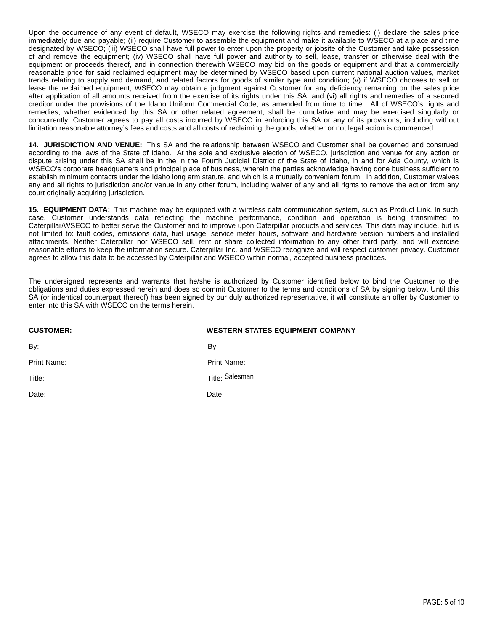Upon the occurrence of any event of default, WSECO may exercise the following rights and remedies: (i) declare the sales price immediately due and payable; (ii) require Customer to assemble the equipment and make it available to WSECO at a place and time designated by WSECO; (iii) WSECO shall have full power to enter upon the property or jobsite of the Customer and take possession of and remove the equipment; (iv) WSECO shall have full power and authority to sell, lease, transfer or otherwise deal with the equipment or proceeds thereof, and in connection therewith WSECO may bid on the goods or equipment and that a commercially reasonable price for said reclaimed equipment may be determined by WSECO based upon current national auction values, market trends relating to supply and demand, and related factors for goods of similar type and condition; (v) if WSECO chooses to sell or lease the reclaimed equipment, WSECO may obtain a judgment against Customer for any deficiency remaining on the sales price after application of all amounts received from the exercise of its rights under this SA; and (vi) all rights and remedies of a secured creditor under the provisions of the Idaho Uniform Commercial Code, as amended from time to time. All of WSECO's rights and remedies, whether evidenced by this SA or other related agreement, shall be cumulative and may be exercised singularly or concurrently. Customer agrees to pay all costs incurred by WSECO in enforcing this SA or any of its provisions, including without limitation reasonable attorney's fees and costs and all costs of reclaiming the goods, whether or not legal action is commenced.

**14. JURISDICTION AND VENUE:** This SA and the relationship between WSECO and Customer shall be governed and construed according to the laws of the State of Idaho. At the sole and exclusive election of WSECO, jurisdiction and venue for any action or dispute arising under this SA shall be in the in the Fourth Judicial District of the State of Idaho, in and for Ada County, which is WSECO's corporate headquarters and principal place of business, wherein the parties acknowledge having done business sufficient to establish minimum contacts under the Idaho long arm statute, and which is a mutually convenient forum. In addition, Customer waives any and all rights to jurisdiction and/or venue in any other forum, including waiver of any and all rights to remove the action from any court originally acquiring jurisdiction.

**15. EQUIPMENT DATA:** This machine may be equipped with a wireless data communication system, such as Product Link. In such case, Customer understands data reflecting the machine performance, condition and operation is being transmitted to Caterpillar/WSECO to better serve the Customer and to improve upon Caterpillar products and services. This data may include, but is not limited to: fault codes, emissions data, fuel usage, service meter hours, software and hardware version numbers and installed attachments. Neither Caterpillar nor WSECO sell, rent or share collected information to any other third party, and will exercise reasonable efforts to keep the information secure. Caterpillar Inc. and WSECO recognize and will respect customer privacy. Customer agrees to allow this data to be accessed by Caterpillar and WSECO within normal, accepted business practices.

The undersigned represents and warrants that he/she is authorized by Customer identified below to bind the Customer to the obligations and duties expressed herein and does so commit Customer to the terms and conditions of SA by signing below. Until this SA (or indentical counterpart thereof) has been signed by our duly authorized representative, it will constitute an offer by Customer to enter into this SA with WSECO on the terms herein.

| CUSTOMER: _________________________________ | <b>WESTERN STATES EQUIPMENT COMPANY</b> |
|---------------------------------------------|-----------------------------------------|
|                                             |                                         |
|                                             |                                         |
|                                             |                                         |
|                                             |                                         |
|                                             |                                         |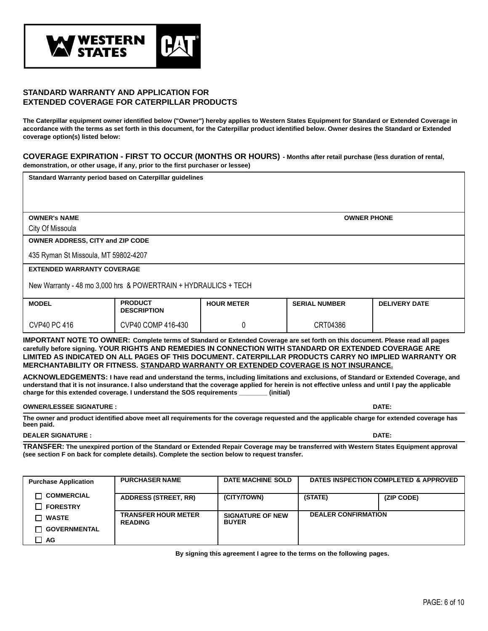

## **STANDARD WARRANTY AND APPLICATION FOR EXTENDED COVERAGE FOR CATERPILLAR PRODUCTS**

**The Caterpillar equipment owner identified below ("Owner") hereby applies to Western States Equipment for Standard or Extended Coverage in accordance with the terms as set forth in this document, for the Caterpillar product identified below. Owner desires the Standard or Extended coverage option(s) listed below:**

**COVERAGE EXPIRATION - FIRST TO OCCUR (MONTHS OR HOURS) - Months after retail purchase (less duration of rental, demonstration, or other usage, if any, prior to the first purchaser or lessee)**

**Standard Warranty period based on Caterpillar guidelines**

**OWNER's NAME OWNER PHONE**

City Of Missoula

**OWNER ADDRESS, CITY and ZIP CODE**

435 Ryman St Missoula, MT 59802-4207

**EXTENDED WARRANTY COVERAGE**

New Warranty - 48 mo 3,000 hrs & POWERTRAIN + HYDRAULICS + TECH

| <b>MODEL</b>        | <b>PRODUCT</b><br><b>DESCRIPTION</b> | <b>HOUR METER</b> | <b>SERIAL NUMBER</b> | <b>DELIVERY DATE</b> |
|---------------------|--------------------------------------|-------------------|----------------------|----------------------|
| <b>CVP40 PC 416</b> | CVP40 COMP 416-430                   |                   | CRT04386             |                      |

**IMPORTANT NOTE TO OWNER: Complete terms of Standard or Extended Coverage are set forth on this document. Please read all pages carefully before signing. YOUR RIGHTS AND REMEDIES IN CONNECTION WITH STANDARD OR EXTENDED COVERAGE ARE LIMITED AS INDICATED ON ALL PAGES OF THIS DOCUMENT. CATERPILLAR PRODUCTS CARRY NO IMPLIED WARRANTY OR MERCHANTABILITY OR FITNESS. STANDARD WARRANTY OR EXTENDED COVERAGE IS NOT INSURANCE.**

**ACKNOWLEDGEMENTS: I have read and understand the terms, including limitations and exclusions, of Standard or Extended Coverage, and understand that it is not insurance. I also understand that the coverage applied for herein is not effective unless and until I pay the applicable charge for this extended coverage. I understand the SOS requirements \_\_\_\_\_\_\_\_ (initial)**

**OWNER/LESSEE SIGNATURE : DATE:**

**The owner and product identified above meet all requirements for the coverage requested and the applicable charge for extended coverage has been paid.**

#### **DEALER SIGNATURE : DATE:**

**TRANSFER: The unexpired portion of the Standard or Extended Repair Coverage may be transferred with Western States Equipment approval (see section F on back for complete details). Complete the section below to request transfer.**

| <b>Purchase Application</b>          | <b>PURCHASER NAME</b>                        | <b>DATE MACHINE SOLD</b>                |                            | DATES INSPECTION COMPLETED & APPROVED |
|--------------------------------------|----------------------------------------------|-----------------------------------------|----------------------------|---------------------------------------|
| <b>COMMERCIAL</b><br><b>FORESTRY</b> | <b>ADDRESS (STREET, RR)</b>                  | (CITY/TOWN)                             | (STATE)                    | (ZIP CODE)                            |
| <b>WASTE</b>                         | <b>TRANSFER HOUR METER</b><br><b>READING</b> | <b>SIGNATURE OF NEW</b><br><b>BUYER</b> | <b>DEALER CONFIRMATION</b> |                                       |
| <b>GOVERNMENTAL</b>                  |                                              |                                         |                            |                                       |
| AG                                   |                                              |                                         |                            |                                       |

**By signing this agreement I agree to the terms on the following pages.**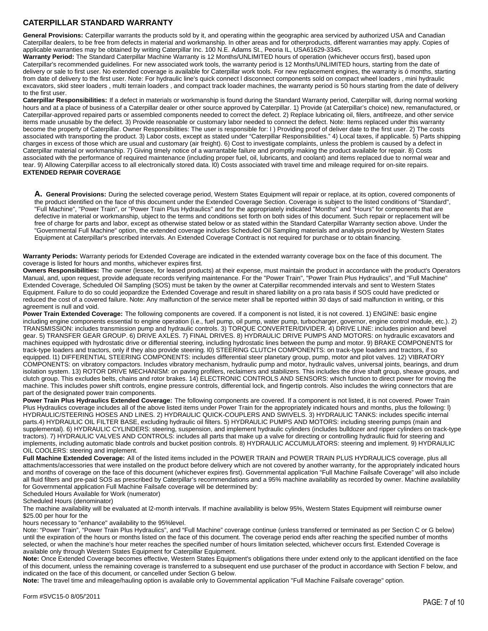# **CATERPILLAR STANDARD WARRANTY**

General Provisions: Caterpillar warrants the products sold by it, and operating within the geographic area serviced by authorized USA and Canadian Caterpillar dealers, to be free from defects in material and workmanship. In other areas and for otherproducts, different warranties may apply. Copies of applicable warranties may be obtained by writing Caterpillar Inc. 100 N.E. Adams St., Peoria IL, USA61629-3345.

**Warranty Period:** The Standard Caterpillar Machine Warranty is 12 Months/UNLIMITED hours of operation (whichever occurs first), based upon Caterpillar's recommended guidelines. For new associated work tools, the warranty period is 12 Months/UNLIMITED hours, starting from the date of delivery or sale to first user. No extended coverage is available for Caterpillar work tools. For new replacement engines, the warranty is ó months, starting from date of delivery to the first user. Note: For hydraulic line's quick connect l disconnect components sold on compact wheel loaders , mini hydraulic excavators, skid steer loaders , multi terrain loaders , and compact track loader machines, the warranty period is 50 hours starting from the date of delivery to the first user.

**Caterpillar Responsibilities:** If a defect in materials or workmanship is found during the Standard Warranty period, Caterpillar will, during normal working hours and at a place of business of a Caterpillar dealer or other source approved by Caterpillar. 1) Provide (at Caterpillar's choice) new, remanufactured, or Caterpillar-approved repaired parts or assembled components needed to correct the defect. 2) Replace lubricating oil, filers, antifreeze, and other service items made unusable by the defect. 3) Provide reasonable or customary labor needed to connect the defect. Note: Items replaced under this warranty become the property of Caterpillar. Owner Responsibilities: The user is responsible for: I ) Providing proof of deliver date to the first user. 2) The costs associated with transporting the product. 3) Labor costs, except as stated under "Caterpillar Responsibilities." 4) Local taxes, if applicable. 5) Parts shipping charges in excess of those which are usual and customary (air freight). 6) Cost to investigate complaints, unless the problem is caused by a defect in Caterpillar material or workmanship. 7) Giving timely notice of a warrantable failure and promptly making the product available for repair. 8) Costs associated with the performance of required maintenance (including proper fuel, oil, lubricants, and coolant) and items replaced due to normal wear and tear. 9) Allowing Caterpillar access to all electronically stored data. I0) Costs associated with travel time and mileage required for on-site repairs. **EXTENDED REPAIR COVERAGE**

**A. General Provisions:** During the selected coverage period, Western States Equipment will repair or replace, at its option, covered components of the product identified on the face of this document under the Extended Coverage Section. Coverage is subject to the listed conditions of "Standard", "Full Machine", "Power Train", or "Power Train Plus Hydraulics" and for the appropriately indicated "Months" and "Hours" for components that are defective in material or workmanship, ubject to the terms and conditions set forth on both sides of this document. Such repair or replacement will be free of charge for parts and labor, except as otherwise stated below or as stated within the Standard Caterpillar Warranty section above. Under the "Governmental Full Machine" option, the extended coverage includes Scheduled Oil Sampling materials and analysis provided by Western States Equipment at Caterpillar's prescribed intervals. An Extended Coverage Contract is not required for purchase or to obtain financing.

**Warranty Periods:** Warranty periods for Extended Coverage are indicated in the extended warranty coverage box on the face of this document. The coverage is listed for hours and months, whichever expires first.

**Owners Responsibilities:** The owner (lessee, for leased products) at their expense, must maintain the product in accordance with the product's Operators Manual, and, upon request, provide adequate records verifying maintenance. For the "Power Train", "Power Train Plus Hydraulics", and "Full Machine" Extended Coverage, Scheduled Oil Sampling (SOS) must be taken by the owner at Caterpillar recommended intervals and sent to Western States Equipment. Failure to do so could jeopardize the Extended Coverage and result in shared liability on a pro rata basis if SOS could have predicted or reduced the cost of a covered failure. Note: Any malfunction of the service meter shall be reported within 30 days of said malfunction in writing, or this agreement is null and void.

**Power Train Extended Coverage:** The following components are covered. If a component is not listed, it is not covered. 1) ENGINE: basic engine including engine components essential to engine operation (i.e., fuel pump, oil pump, water pump, turbocharger, governor, engine control module, etc.). 2) TRANSMISSION: includes transmission pump and hydraulic controls. 3) TORQUE CONVERTER/DIVIDER. 4) DRIVE LINE: includes pinion and bevel gear. 5) TRANSFER GEAR GROUP. 6) DRIVE AXLES. 7) FINAL DRIVES. 8) HYDRAULIC DRIVE PUMPS AND MOTORS: on hydraulic excavators and machines equipped with hydrostatic drive or differential steering, including hydrostatic lines between the pump and motor. 9) BRAKE COMPONENTS for track-type loaders and tractors, only if they also provide steering. l0) STEERING CLUTCH COMPONENTS: on track-type loaders and tractors, if so equipped. I1) DIFFERENTIAL STEERING COMPONENTS: includes differential steer planetary group, pump, motor and pilot valves. 12) VIBRATORY COMPONENTS: on vibratory compactors. Includes vibratory mechanism, hydraulic pump and motor, hydraulic valves, universal joints, bearings, and drum isolation system. 13) ROTOR DRIVE MECHANISM: on paving profilers, reclaimers and stabilizers. This includes the drive shaft group, sheave groups, and clutch group. This excludes belts, chains and rotor brakes. 14) ELECTRONIC CONTROLS AND SENSORS: which function to direct power for moving the machine. This includes power shift controls, engine pressure controls, differential lock, and fingertip controls. Also includes the wiring connectors that are part of the designated power train components.

Power Train Plus Hydraulics Extended Coverage: The following components are covered. If a component is not listed, it is not covered. Power Train Plus Hydraulics coverage includes all of the above listed items under Power Train for the appropriately indicated hours and months, plus the following: l) HYDRAULIC/STEERING HOSES AND LINES. 2) HYDRAULIC QUICK-COUPLERS AND SWIVELS. 3) HYDRAULIC TANKS: includes specific internal parts.4) HYDRAULIC OIL FILTER BASE, excluding hydraulic oil filters. 5) HYDRAULIC PUMPS AND MOTORS: including steering pumps (main and supplemental). 6) HYDRAULIC CYLINDERS: steering, suspension, and implement hydraulic cylinders (includes bulldozer and ripper cylinders on track-type tractors). 7) HYDRAULIC VALVES AND CONTROLS: includes all parts that make up a valve for directing or controlling hydraulic fluid for steering and implements, including automatic blade controls and bucket position controls. 8) HYDRAULIC ACCUMULATORS: steering and implement. 9) HYDRAULIC OIL COOLERS: steering and implement.

**Full Machine Extended Coverage:** All of the listed items included in the POWER TRAIN and POWER TRAIN PLUS HYDRAULICS coverage, plus all attachments/accessories that were installed on the product before delivery which are not covered by another warranty, for the appropriately indicated hours and months of coverage on the face of this document (whichever expires first). Governmental application "Full Machine Failsafe Coverage" will also include all fluid filters and pre-paid SOS as prescribed by Caterpillar's recommendations and a 95% machine availability as recorded by owner. Machine availability for Governmental application Full Machine Failsafe coverage will be determined by:

Scheduled Hours Available for Work (numerator)

Scheduled Hours (denominator)

The machine availability will be evaluated at l2-month intervals. If machine availability is below 95%, Western States Equipment will reimburse owner \$25.00 per hour for the

hours necessary to "enhance" availability to the 95%level.

Note: "Power Train", "Power Train Plus Hydraulics", and "Full Machine" coverage continue (unless transferred or terminated as per Section C or G below) until the expiration of the hours or months listed on the face of this document. The coverage period ends after reaching the specified number of months selected, or when the machine's hour meter reaches the specified number of hours limitation selected, whichever occurs first. Extended Coverage is available only through Western States Equipment for Caterpillar Equipment.

**Note:** Once Extended Coverage becomes effective, Western States Equipment's obligations there under extend only to the applicant identified on the face of this document, unless the remaining coverage is transferred to a subsequent end use purchaser of the product in accordance with Section F below, and indicated on the face of this document, or cancelled under Section G below.

**Note:** The travel time and mileage/hauling option is available only to Governmental application "Full Machine Failsafe coverage" option.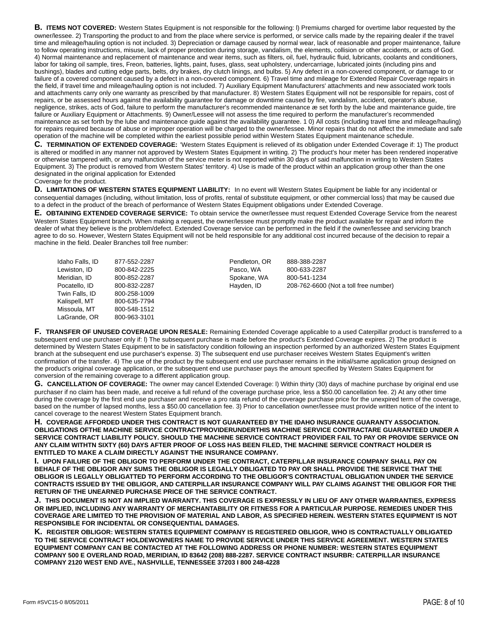**B. ITEMS NOT COVERED:** Western States Equipment is not responsible for the following: l) Premiums charged for overtime labor requested by the owner/lessee. 2) Transporting the product to and from the place where service is performed, or service calls made by the repairing dealer if the travel time and mileage/hauling option is not included. 3) Depreciation or damage caused by normal wear, lack of reasonable and proper maintenance, failure to follow operating instructions, misuse, lack of proper protection during storage, vandalism, the elements, collision or other accidents, or acts of God. 4) Normal maintenance and replacement of maintenance and wear items, such as filters, oil, fuel, hydraulic fluid, lubricants, coolants and conditioners, labor for taking oil sample, tires, Freon, batteries, lights, paint, fuses, glass, seat upholstery, undercarriage, lubricated joints (including pins and bushings), blades and cutting edge parts, belts, dry brakes, dry clutch linings, and bulbs. 5) Any defect in a non-covered component, or damage to or failure of a covered component caused by a defect in a non-covered component. 6) Travel time and mileage for Extended Repair Coverage repairs in the field, if travel time and mileage/hauling option is not included. 7) Auxiliary Equipment Manufacturers' attachments and new associated work tools and attachments carry only one warranty as prescribed by that manufacturer. 8) Western States Equipment will not be responsible for repairs, cost of repairs, or be assessed hours against the availability guarantee for damage or downtime caused by fire, vandalism, accident, operator's abuse, negligence, strikes, acts of God, failure to perform the manufacturer's recommended maintenance æ set forth by the lube and maintenance guide, tire failure or Auxiliary Equipment or Attachments. 9) Owner/Lessee will not assess the time required to perform the manufacturer's recommended maintenance as set forth by the lube and maintenance guide against the availability guarantee. 1 0) All costs (including travel time and mileage/hauling) for repairs required because of abuse or improper operation will be charged to the owner/lessee. Minor repairs that do not affect the immediate and safe operation of the machine will be completed within the earliest possible period within Western States Equipment maintenance schedule.

**C. TERMINATION OF EXTENDED COVERAGE:** 'Western States Equipment is relieved of its obligation under Extended Coverage if: 1) The product is altered or modified in any manner not approved by Western States Equipment in writing. 2) The product's hour meter has been rendered inoperative or otherwise tampered with, or any malfunction of the service meter is not reported within 30 days of said malfunction in writing to Western States Equipment. 3) The product is removed from Western States' territory. 4) Use is made of the product within an application group other than the one designated in the original application for Extended Coverage for the product.

**D. LIMITATIONS OF WESTERN STATES EQUIPMENT LIABILITY:** In no event will Western States Equipment be liable for any incidental or consequential damages (including, without limitation, loss of profits, rental of substitute equipment, or other commercial loss) that may be caused due to a defect in the product of the breach of performance of Western States Equipment obligations under Extended Coverage.

**E. OBTAINING EXTENDED COVERAGE SERVICE:** To obtain service the owner/lessee must request Extended Coverage Service from the nearest Western States Equipment branch. When making a request, the owner/lessee must promptly make the product available for repair and inform the dealer of what they believe is the problem/defect. Extended Coverage service can be performed in the field if the owner/lessee and servicing branch agree to do so. However, Western States Equipment will not be held responsible for any additional cost incurred because of the decision to repair a machine in the field. Dealer Branches toll free number:

| Idaho Falls, ID | 877-552-2287 |
|-----------------|--------------|
| Lewiston, ID    | 800-842-2225 |
| Meridian, ID    | 800-852-2287 |
| Pocatello, ID   | 800-832-2287 |
| Twin Falls, ID  | 800-258-1009 |
| Kalispell, MT   | 800-635-7794 |
| Missoula, MT    | 800-548-1512 |
| LaGrande, OR    | 800-963-3101 |

Pendleton, OR Pasco, WA Spokane, WA Hayden, ID

888-388-2287 800-633-2287 800-541-1234 208-762-6600 (Not a toll free number)

**F. TRANSFER OF UNUSED COVERAGE UPON RESALE:** Remaining Extended Coverage applicable to a used Caterpillar product is transferred to a subsequent end use purchaser only if: l) The subsequent purchase is made before the product's Extended Coverage expires. 2) The product is determined by Western States Equipment to be in satisfactory condition following an inspection performed by an authorized Western States Equipment branch at the subsequent end use purchaser's expense. 3) The subsequent end use purchaser receives Western States Equipment's written confirmation of the transfer. 4) The use of the product by the subsequent end use purchaser remains in the initial/same application group designed on the product's original coverage application, or the subsequent end use purchaser pays the amount specified by Western States Equipment for conversion of the remaining coverage to a different application group.

**G. CANCELLATION OF COVERAGE:** The owner may cancel Extended Coverage: l) Within thirty (30) days of machine purchase by original end use purchaser if no claim has been made, and receive a full refund of the coverage purchase price, less a \$50.00 cancellation fee. 2) At any other time during the coverage by the first end use purchaser and receive a pro rata refund of the coverage purchase price for the unexpired term of the coverage, based on the number of lapsed months, less a \$50.00 cancellation fee. 3) Prior to cancellation owner/lessee must provide written notice of the intent to cancel coverage to the nearest Western States Equipment branch.

**H. COVERAGE AFFORDED UNDER THIS CONTRACT IS NOT GUARANTEED BY THE IDAHO INSURANCE GUARANTY ASSOCIATION. OBLIGATIONS OFTHE MACHINE SERVICE CONTRACTPROVIDERUNDERTHIS MACHINE SERVICE CONTRACTARE GUARANTEED UNDER A SERVICE CONTRACT LIABILITY POLICY. SHOULD THE MACHINE SERVICE CONTRACT PROVIDER FAIL TO PAY OR PROVIDE SERVICE ON ANY CLAIM WITHTN SIXTY (60) DAYS AFTER PROOF OF LOSS HAS BEEN FILED, THE MACHINE SERVICE CONTRACT HOLDER IS ENTITLED TO MAKE A CLAIM DIRECTLY AGAINST THE INSURANCE COMPANY.**

**I. UPON FAILURE OF THE OBLIGOR TO PERFORM UNDER THE CONTRACT, CATERPILLAR INSURANCE COMPANY SHALL PAY ON BEHALF OF THE OBLIGOR ANY SUMS THE OBLIGOR IS LEGALLY OBLIGATED TO PAY OR SHALL PROVIDE THE SERVICE THAT THE OBLIGOR IS LEGALLY OBLIGATTED TO PERFORM ACCORDING TO THE OBLIGOR'S CONTRACTUAL OBLIGATION UNDER THE SERVICE CONTRACTS ISSUED BY THE OBLIGOR, AND CATERPILLAR INSURANCE COMPANY WILL PAY CLAIMS AGAINST THE OBLIGOR FOR THE RETURN OF THE UNEARNED PURCHASE PRICE OF THE SERVICE CONTRACT.**

**J. THIS DOCUMENT IS NOT AN IMPLIED WARRANTY. THIS COVERAGE IS EXPRESSLY IN LIEU OF ANY OTHER WARRANTIES, EXPRESS OR IMPLIED, INCLUDING ANY WARRANTY OF MERCHANTABILITY OR FITNESS FOR A PARTICULAR PURPOSE. REMEDIES UNDER THIS COVERAGE ARE LIMITED TO THE PROVISION OF MATERIAL AND LABOR, AS SPECIFIED HEREIN. WESTERN STATES EQUIPMENT IS NOT RESPONSIBLE FOR INCIDENTAL OR CONSEQUENTIAL DAMAGES.**

**K. REGISTER OBLIGOR: WESTERN STATES EQUIPMENT COMPANY IS REGISTERED OBLIGOR, WHO IS CONTRACTUALLY OBLIGATED TO THE SERVICE CONTRACT HOLDEWOWNERS NAME TO PROVIDE SERVICE UNDER THIS SERVICE AGREEMENT. WESTERN STATES EQUIPMENT COMPANY CAN BE CONTACTED AT THE FOLLOWING ADDRESS OR PHONE NUMBER: WESTERN STATES EQUIPMENT COMPANY 500 E OVERLAND ROAD, MERIDIAN, ID 83642 (208) 888-2287. SERVICE CONTRACT INSURBR: CATERPILLAR INSURANCE COMPANY 2120 WEST END AVE., NASHVILLE, TENNESSEE 37203 I 800 248-4228**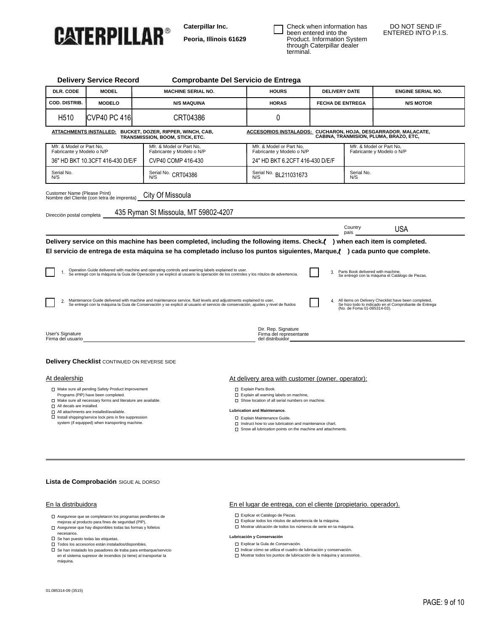

**Caterpillar Inc.**

**Peoria, Illinois 61629**

Check when information has been entered into the Product. Information System through Caterpillar dealer terminal.

#### DO NOT SEND IF ENTERED INTO P.I.S.

| <b>Delivery Service Record</b>                        |                                                     | Comprobante Del Servicio de Entrega                                                                                                                                                                                                                                                                                                                                                                                                                                                                 |                                                                    |                         |                                                       |                                                                                                               |
|-------------------------------------------------------|-----------------------------------------------------|-----------------------------------------------------------------------------------------------------------------------------------------------------------------------------------------------------------------------------------------------------------------------------------------------------------------------------------------------------------------------------------------------------------------------------------------------------------------------------------------------------|--------------------------------------------------------------------|-------------------------|-------------------------------------------------------|---------------------------------------------------------------------------------------------------------------|
| DLR. CODE                                             | <b>MODEL</b>                                        | <b>MACHINE SERIAL NO.</b>                                                                                                                                                                                                                                                                                                                                                                                                                                                                           | <b>HOURS</b>                                                       | <b>DELIVERY DATE</b>    |                                                       | <b>ENGINE SERIAL NO.</b>                                                                                      |
| <b>COD. DISTRIB.</b>                                  | <b>MODELO</b>                                       | <b>N/S MAQUINA</b>                                                                                                                                                                                                                                                                                                                                                                                                                                                                                  | <b>HORAS</b>                                                       | <b>FECHA DE ENTREGA</b> |                                                       | <b>N/S MOTOR</b>                                                                                              |
| H <sub>510</sub>                                      | <b>CVP40 PC 416</b>                                 | CRT04386                                                                                                                                                                                                                                                                                                                                                                                                                                                                                            | 0                                                                  |                         |                                                       |                                                                                                               |
|                                                       |                                                     | <u>ATTACHMENTS INSTALLED:</u> BUCKET, DOZER, RIPPER, WINCH, CAB,<br>TRANSMISSION, BOOM, STICK, ETC.                                                                                                                                                                                                                                                                                                                                                                                                 | ACCESORIOS INSTALADOS: CUCHARON, HOJA, DESGARRADOR. MALACATE,      |                         |                                                       | CABINA, TRANMISION, PLUMA, BRAZO, ETC,                                                                        |
| Mfr. & Model or Part No.<br>Fabricante y Modelo o N/P |                                                     | Mfr. & Model or Part No,<br>Fabricante y Modelo o N/P                                                                                                                                                                                                                                                                                                                                                                                                                                               | Mfr. & Model or Part No,<br>Fabricante y Modelo o N/P              |                         | Mfr. & Model or Part No,<br>Fabricante y Modelo o N/P |                                                                                                               |
|                                                       | 36" HD BKT 10.3CFT 416-430 D/E/F                    | CVP40 COMP 416-430                                                                                                                                                                                                                                                                                                                                                                                                                                                                                  | 24" HD BKT 6.2CFT 416-430 D/E/F                                    |                         |                                                       |                                                                                                               |
| Serial No.<br>N/S                                     |                                                     | Serial No. CRT04386                                                                                                                                                                                                                                                                                                                                                                                                                                                                                 | Serial No. BL211031673<br>N/S                                      |                         | Serial No.<br>N/S                                     |                                                                                                               |
| Customer Name (Please Print)                          | Nombre del Cliente (con letra de imprenta)          | City Of Missoula                                                                                                                                                                                                                                                                                                                                                                                                                                                                                    |                                                                    |                         |                                                       |                                                                                                               |
| Dirección postal completa                             |                                                     | 435 Ryman St Missoula, MT 59802-4207                                                                                                                                                                                                                                                                                                                                                                                                                                                                |                                                                    |                         |                                                       |                                                                                                               |
|                                                       |                                                     |                                                                                                                                                                                                                                                                                                                                                                                                                                                                                                     |                                                                    |                         | Country                                               | USA                                                                                                           |
|                                                       |                                                     |                                                                                                                                                                                                                                                                                                                                                                                                                                                                                                     |                                                                    |                         |                                                       |                                                                                                               |
|                                                       |                                                     | Delivery service on this machine has been completed, including the following items. Check () when each item is completed.<br>El servicio de entrega de esta máquina se ha completado incluso los puntos siguientes, Marque () cada punto que complete.<br>Operation Guide delivered with machine and operating controls and warning labels explained to user.<br>Se entregó con la máquina la Guia de Operación y se explicó al usuario la operación de los controles y los rótulos de advertencia. |                                                                    | 3.                      | país<br>Parts Book delivered with machine.            | Se entregó con la máquina el Catálogo de Piezas.                                                              |
| 2.<br>User's Signature<br>Firma del usuario           |                                                     | Maintenance Guide delivered with machine and maintenance service, fluid levels and adjustments explained to user,<br>Se entregó con la máquina la Guia de Conservación y se explicó al usuario el servicio de conservación, ajustes y nivel de fluidos                                                                                                                                                                                                                                              | Dir. Rep. Signature<br>Firma del representante<br>del distribuidor | 4.                      | (No. de Foma 01-085314-03).                           | All items on Delivery Checklist have been completed,<br>Se hizo todo lo indicado en el Comprobante de Entrega |
|                                                       | <b>Delivery Checklist CONTINUED ON REVERSE SIDE</b> |                                                                                                                                                                                                                                                                                                                                                                                                                                                                                                     |                                                                    |                         |                                                       |                                                                                                               |
| At dealership                                         |                                                     |                                                                                                                                                                                                                                                                                                                                                                                                                                                                                                     | At delivery area with customer (owner, operator):                  |                         |                                                       |                                                                                                               |

#### **Lista de Comprobación** SIGUE AL DORSO

#### En la distribuidora

- Asegurese que se completaron los programas pendlentes de mejoras al producto para fines de seguridad (PlP),
- $\Box$  Asegurese que hay disponibles todas las formas y folletos necesarios.
- $\Box$  Se han puesto todas las etiquetas.
- 
- Todos los accesorios están instalados/disponibles. Se han instalado los pasadores de traba para embarque/servicio en el sistema supresor de incendios (si tiene) al transportar la máquina.

#### En el lugar de entrega, con el cliente (propietario. operador).

- Explicar et Catálogo de Piezas.
- Explicar todos los rótulos de advertencia de la máquina.
- Mostrar ublcación de todos los números de serie en ta máquina.

#### **Lubricación y Conservación**

- Explicar la Gula de Conservación. lndicar cómo se utiliza el cuadro de lubricación y conservación.
- Mostrar todos los puntos de lubricación de la máquina y accesorios.